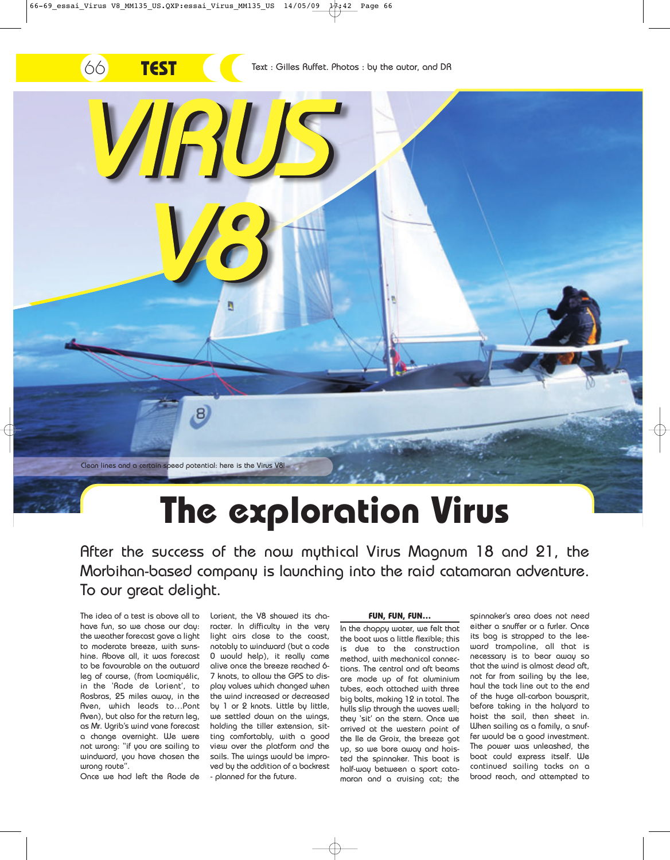

# **The exploration Virus**

After the success of the now mythical Virus Magnum 18 and 21, the Morbihan-based company is launching into the raid catamaran adventure. To our great delight.

The idea of a test is above all to have fun, so we chose our day: the weather forecast gave a light to moderate breeze, with sunshine. Above all, it was forecast to be favourable on the outward leg of course, (from Locmiquélic, in the 'Rade de Lorient', to Rosbras, 25 miles away, in the Aven, which leads to…Pont Aven), but also for the return leg, as Mr. Ugrib's wind vane forecast a change overnight. We were not wrong: "if you are sailing to windward, you have chosen the wrong route".

Once we had left the Rade de

Lorient, the V8 showed its character. In difficulty in the very light airs close to the coast, notably to windward (but a code 0 would help), it really came alive once the breeze reached 6- 7 knots, to allow the GPS to display values which changed when the wind increased or decreased by 1 or 2 knots. Little by little, we settled down on the wings, holding the tiller extension, sitting comfortably, with a good view over the platform and the sails. The wings would be improved by the addition of a backrest - planned for the future.

#### **FUN, FUN, FUN…**

In the choppy water, we felt that the boat was a little flexible; this is due to the construction method, with mechanical connections. The central and aft beams are made up of fat aluminium tubes, each attached with three big bolts, making 12 in total. The hulls slip through the waves well; they 'sit' on the stern. Once we arrived at the western point of the Ile de Groix, the breeze got up, so we bore away and hoisted the spinnaker. This boat is half-way between a sport catamaran and a cruising cat; the

spinnaker's area does not need either a snuffer or a furler. Once its bag is strapped to the leeward trampoline, all that is necessary is to bear away so that the wind is almost dead aft, not far from sailing by the lee, haul the tack line out to the end of the huge all-carbon bowsprit, before taking in the halyard to hoist the sail, then sheet in. When sailing as a family, a snuffer would be a good investment. The power was unleashed, the boat could express itself. We continued sailing tacks on a broad reach, and attempted to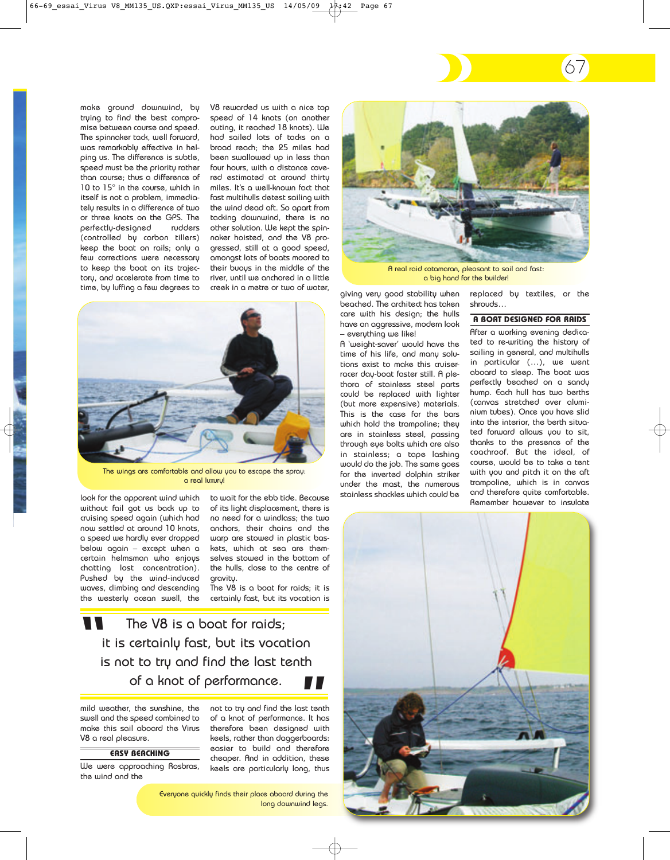make ground downwind, by trying to find the best compromise between course and speed. The spinnaker tack, well forward, was remarkably effective in helping us. The difference is subtle, speed must be the priority rather than course; thus a difference of 10 to 15° in the course, which in itself is not a problem, immediately results in a difference of two or three knots on the GPS. The perfectly-designed rudders (controlled by carbon tillers) keep the boat on rails; only a few corrections were necessary to keep the boat on its trajectory, and accelerate from time to time, by luffing a few degrees to V8 rewarded us with a nice top speed of 14 knots (on another outing, it reached 18 knots). We had sailed lots of tacks on a broad reach; the 25 miles had been swallowed up in less than four hours, with a distance covered estimated at around thirty miles. It's a well-known fact that fast multihulls detest sailing with the wind dead aft. So apart from tacking downwind, there is no other solution. We kept the spinnaker hoisted, and the V8 progressed, still at a good speed, amongst lots of boats moored to their buoys in the middle of the river, until we anchored in a little creek in a metre or two of water,



The wings are comfortable and allow you to escape the spray: a real luxury!

look for the apparent wind which without fail got us back up to cruising speed again (which had now settled at around 10 knots, a speed we hardly ever dropped below again – except when a certain helmsman who enjoys chatting lost concentration). Pushed by the wind-induced waves, climbing and descending the westerly ocean swell, the to wait for the ebb tide. Because of its light displacement, there is no need for a windlass; the two anchors, their chains and the warp are stowed in plastic baskets, which at sea are themselves stowed in the bottom of the hulls, close to the centre of aravitu.

The V8 is a boat for raids; it is certainly fast, but its vocation is

The V8 is a boat for raids; it is certainly fast, but its vocation is not to try and find the last tenth of a knot of performance. **"**

mild weather, the sunshine, the swell and the speed combined to make this sail aboard the Virus V8 a real pleasure.

**EASY BEACHING**

We were approaching Rosbras, the wind and the

not to try and find the last tenth of a knot of performance. It has **"** therefore been designed with keels, rather than daggerboards: easier to build and therefore cheaper. And in addition, these keels are particularly long, thus

Everyone quickly finds their place aboard during the long downwind legs.



A real raid catamaran, pleasant to sail and fast: a big hand for the builder!

giving very good stability when beached. The architect has taken care with his design; the hulls have an aggressive, modern look – everything we like!

A 'weight-saver' would have the time of his life, and many solutions exist to make this cruiserracer day-boat faster still. A plethora of stainless steel parts could be replaced with lighter (but more expensive) materials. This is the case for the bars which hold the trampoline; they are in stainless steel, passing through eye bolts which are also in stainless; a tape lashing would do the job. The same goes for the inverted dolphin striker under the mast, the numerous stainless shackles which could be

replaced by textiles, or the shrouds…

67

#### **A BOAT DESIGNED FOR RAIDS**

After a working evening dedicated to re-writing the history of sailing in general, and multihulls in particular (…), we went aboard to sleep. The boat was perfectly beached on a sandy hump. Each hull has two berths (canvas stretched over aluminium tubes). Once you have slid into the interior, the berth situated forward allows you to sit, thanks to the presence of the coachroof. But the ideal, of course, would be to take a tent with you and pitch it on the aft trampoline, which is in canvas and therefore quite comfortable. Remember however to insulate

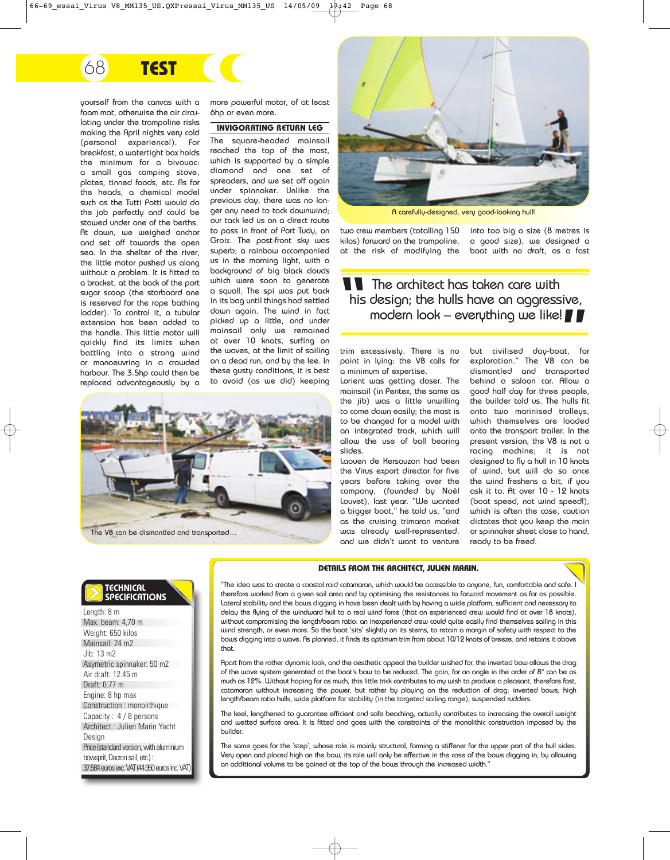# 7868 **TEST**

yourself from the canvas with a foam mat, otherwise the air circulating under the trampoline risks making the April nights very cold (personal experience!). For breakfast, a watertight box holds the minimum for a bivouac: a small gas camping stove, plates, tinned foods, etc. As for the heads, a chemical model such as the Tutti Potti would do the job perfectly and could be stowed under one of the berths. At dawn, we weighed anchor and set off towards the open sea. In the shelter of the river, the little motor pushed us along without a problem. It is fitted to a bracket, at the back of the port sugar scoop (the starboard one is reserved for the rope bathing ladder). To control it, a tubular extension has been added to the handle. This little motor will quickly find its limits when battling into a strong wind or manoeuvring in a crowded harbour. The 3.5hp could then be replaced advantageously by a

more powerful motor, of at least 6hp or even more.

**INVIGORATING RETURN LEG** The square-headed mainsail reached the top of the mast, which is supported by a simple diamond and one set of spreaders, and we set off again under spinnaker. Unlike the previous day, there was no longer any need to tack downwind; our tack led us on a direct route to pass in front of Port Tudy, on Groix. The post-front sky was superb; a rainbow accompanied us in the morning light, with a background of big black clouds which were soon to generate a squall. The spi was put back in its bag until things had settled down again. The wind in fact picked up a little, and under mainsail only we remained at over 10 knots, surfing on the waves, at the limit of sailing on a dead run, and by the lee. In these gusty conditions, it is best to avoid (as we did) keeping





A carefully-designed, very good-looking hull!

two crew members (totalling 150 kilos) forward on the trampoline, at the risk of modifying the

into too big a size (8 metres is a good size), we designed a boat with no draft, as a fast

**The architect has taken care with<br>his design; the hulls have an aggress<br>modern look - everything we like** his design; the hulls have an aggressive, modern look – everything we like! **"**

trim excessively. There is no point in lying: the V8 calls for a minimum of expertise.

Lorient was getting closer. The mainsail (in Pentex, the same as the jib) was a little unwilling to come down easily; the mast is to be changed for a model with an integrated track, which will allow the use of ball bearing slides.

Laouen de Kersauzon had been the Virus export director for five years before taking over the company, (founded by Noël Louvet), last year. "We wanted a bigger boat," he told us, "and as the cruising trimaran market was already well-represented, and we didn't want to venture

but civilised day-boat, for exploration." The V8 can be dismantled and transported behind a saloon car. Allow a good half day for three people, the builder told us. The hulls fit onto two marinised trolleys, which themselves are loaded onto the transport trailer. In the present version, the V8 is not a racing machine; it is not designed to fly a hull in 10 knots of wind, but will do so once the wind freshens a bit, if you ask it to. At over 10 - 12 knots (boat speed, not wind speed!), which is often the case, caution dictates that you keep the main or spinnaker sheet close to hand, ready to be freed.

# TECHNICAL **SPECIFICATIONS**

Length: 8 m Max. beam: 4,70 m Weight: 650 kilos Mainsail: 24 m2 Jib: 13 m2 Asymetric spinnaker: 50 m2 Air draft: 12.45 m Draft: 0.77 m Engine: 8 hp max Construction : monolithique Capacity : 4 / 8 persons Architect : Julien Marin Yacht Design Price (standard version, with aluminium bowsprit, Dacron sail, etc.) : 37.584 euros exc. VAT (44.950 euros inc. VAT)

#### **DETAILS FROM THE ARCHITECT, JULIEN MARIN.**

"The idea was to create a coastal raid catamaran, which would be accessible to anyone, fun, comfortable and safe. therefore worked from a given sail area and by optimising the resistances to forward movement as far as possible. Lateral stability and the bows digging in have been dealt with by having a wide platform, sufficient and necessary to delay the flying of the windward hull to a real wind force (that an experienced crew would find at over 18 knots), without compromising the length/beam ratio: an inexperienced crew could quite easily find themselves sailing in this wind strength, or even more. So the boat 'sits' slightly on its sterns, to retain a margin of safety with respect to the bows digging into a wave. As planned, it finds its optimum trim from about 10/12 knots of breeze, and retains it above that.

Apart from the rather dynamic look, and the aesthetic appeal the builder wished for, the inverted bow allows the drag of the wave system generated at the boat's bow to be reduced. The gain, for an angle in the order of 8° can be as much as 12%. Without hoping for as much, this little trick contributes to my wish to produce a pleasant, therefore fast, catamaran without increasing the power, but rather by playing on the reduction of drag: inverted bows, high length/beam ratio hulls, wide platform for stability (in the targeted sailing range), suspended rudders.

The keel, lengthened to guarantee efficient and safe beaching, actually contributes to increasing the overall weight and wetted surface area. It is fitted and goes with the constraints of the monolithic construction imposed by the builder.

The same goes for the 'step', whose role is mainly structural, forming a stiffener for the upper part of the hull sides. Very open and placed high on the bow, its role will only be effective in the case of the bows digging in, by allowing an additional volume to be gained at the top of the bows through the increased width."